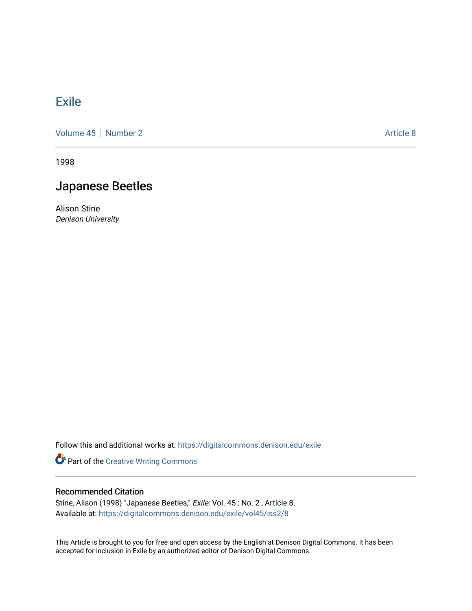## [Exile](https://digitalcommons.denison.edu/exile)

[Volume 45](https://digitalcommons.denison.edu/exile/vol45) | [Number 2](https://digitalcommons.denison.edu/exile/vol45/iss2) Article 8

1998

## Japanese Beetles

Alison Stine Denison University

Follow this and additional works at: [https://digitalcommons.denison.edu/exile](https://digitalcommons.denison.edu/exile?utm_source=digitalcommons.denison.edu%2Fexile%2Fvol45%2Fiss2%2F8&utm_medium=PDF&utm_campaign=PDFCoverPages) 

Part of the [Creative Writing Commons](http://network.bepress.com/hgg/discipline/574?utm_source=digitalcommons.denison.edu%2Fexile%2Fvol45%2Fiss2%2F8&utm_medium=PDF&utm_campaign=PDFCoverPages) 

## Recommended Citation

Stine, Alison (1998) "Japanese Beetles," Exile: Vol. 45 : No. 2 , Article 8. Available at: [https://digitalcommons.denison.edu/exile/vol45/iss2/8](https://digitalcommons.denison.edu/exile/vol45/iss2/8?utm_source=digitalcommons.denison.edu%2Fexile%2Fvol45%2Fiss2%2F8&utm_medium=PDF&utm_campaign=PDFCoverPages) 

This Article is brought to you for free and open access by the English at Denison Digital Commons. It has been accepted for inclusion in Exile by an authorized editor of Denison Digital Commons.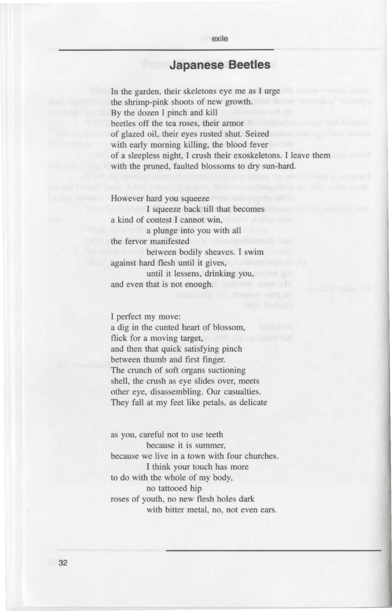## **Japanese Beetles**

exile

In the garden, their skeletons eye me as I urge the shrimp-pink shoots of new growth. By the dozen I pinch and kill beetles off the tea roses, their armor of glazed oil, their eyes rusted shut. Seized with early morning killing, the blood fever of a sleepless night, I crush their exoskeletons. I leave them with the pruned, faulted blossoms to dry sun-hard.

However hard you squeeze I squeeze back till that becomes a kind of contest I cannot win, a plunge into you with all the fervor manifested between bodily sheaves. I swim against hard flesh until it gives, until it lessens, drinking you, and even that is not enough.

I perfect my move:

a dig in the cunted heart of blossom, flick for a moving target, and then that quick satisfying pinch between thumb and first finger. The crunch of soft organs suctioning shell, the crush as eye slides over, meets other eye, disassembling. Our casualties. They fall at my feet like petals, as delicate

as you, careful not to use teeth because it is summer, because we live in a town with four churches. I think your touch has more to do with the whole of my body, no tattooed hip roses of youth, no new flesh holes dark with bitter metal, no, not even ears.